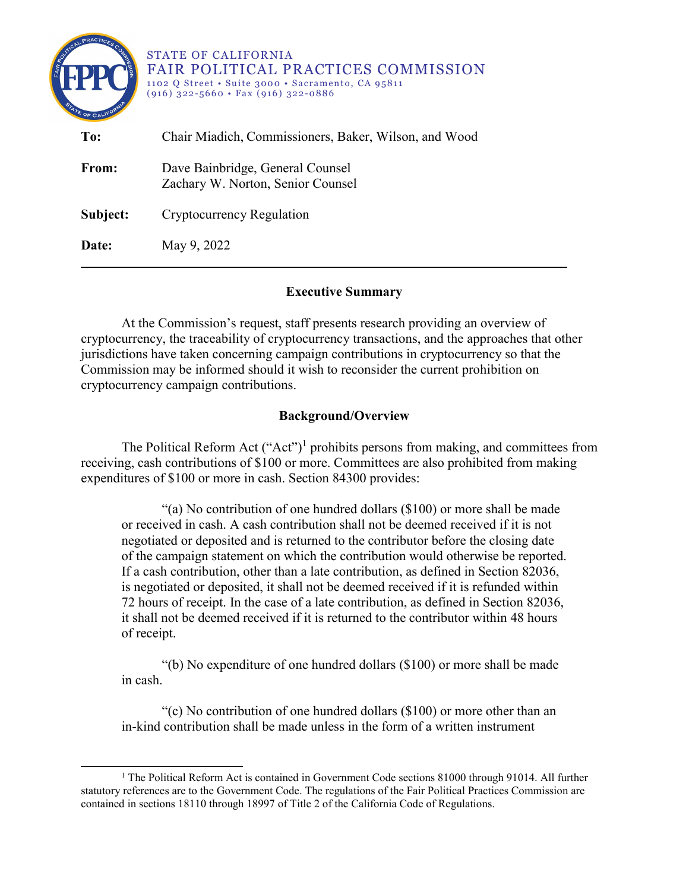| PRACTICES<br>$\mathbf{e}^{\mathbf{0}}$<br>TATE OF CALIFO | <b>STATE OF CALIFORNIA</b><br><b>FAIR POLITICAL PRACTICES COMMISSION</b><br>1102 Q Street • Suite 3000 • Sacramento, CA 95811<br>$(916)$ 322-5660 • Fax $(916)$ 322-0886 |
|----------------------------------------------------------|--------------------------------------------------------------------------------------------------------------------------------------------------------------------------|
| To:                                                      | Chair Miadich, Commissioners, Baker, Wilson, and Wood                                                                                                                    |
| From:                                                    | Dave Bainbridge, General Counsel<br>Zachary W. Norton, Senior Counsel                                                                                                    |
| Subject:                                                 | Cryptocurrency Regulation                                                                                                                                                |
| Date:                                                    | May 9, 2022                                                                                                                                                              |

# **Executive Summary**

At the Commission's request, staff presents research providing an overview of cryptocurrency, the traceability of cryptocurrency transactions, and the approaches that other jurisdictions have taken concerning campaign contributions in cryptocurrency so that the Commission may be informed should it wish to reconsider the current prohibition on cryptocurrency campaign contributions.

# **Background/Overview**

The Political Reform Act  $("Act")^1$  $("Act")^1$  prohibits persons from making, and committees from receiving, cash contributions of \$100 or more. Committees are also prohibited from making expenditures of \$100 or more in cash. Section 84300 provides:

"(a) No contribution of one hundred dollars (\$100) or more shall be made or received in cash. A cash contribution shall not be deemed received if it is not negotiated or deposited and is returned to the contributor before the closing date of the campaign statement on which the contribution would otherwise be reported. If a cash contribution, other than a late contribution, as defined in Section 82036, is negotiated or deposited, it shall not be deemed received if it is refunded within 72 hours of receipt. In the case of a late contribution, as defined in Section 82036, it shall not be deemed received if it is returned to the contributor within 48 hours of receipt.

"(b) No expenditure of one hundred dollars (\$100) or more shall be made in cash.

"(c) No contribution of one hundred dollars (\$100) or more other than an in-kind contribution shall be made unless in the form of a written instrument

<span id="page-0-0"></span><sup>&</sup>lt;sup>1</sup> The Political Reform Act is contained in Government Code sections 81000 through 91014. All further statutory references are to the Government Code. The regulations of the Fair Political Practices Commission are contained in sections 18110 through 18997 of Title 2 of the California Code of Regulations.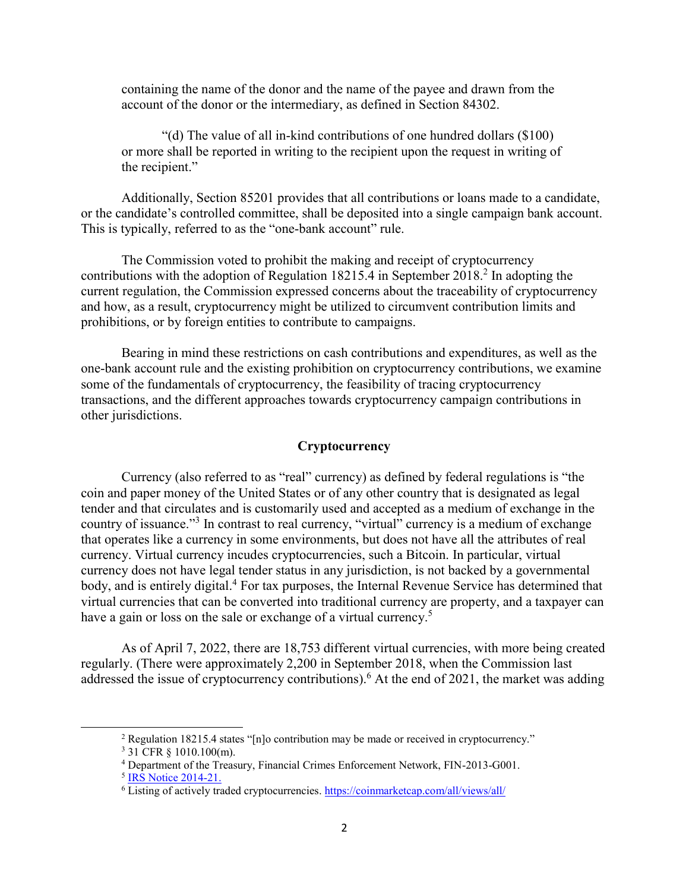containing the name of the donor and the name of the payee and drawn from the account of the donor or the intermediary, as defined in Section 84302.

"(d) The value of all in-kind contributions of one hundred dollars (\$100) or more shall be reported in writing to the recipient upon the request in writing of the recipient."

Additionally, Section 85201 provides that all contributions or loans made to a candidate, or the candidate's controlled committee, shall be deposited into a single campaign bank account. This is typically, referred to as the "one-bank account" rule.

The Commission voted to prohibit the making and receipt of cryptocurrency contributions with the adoption of Regulation 18[2](#page-1-0)15.4 in September 2018.<sup>2</sup> In adopting the current regulation, the Commission expressed concerns about the traceability of cryptocurrency and how, as a result, cryptocurrency might be utilized to circumvent contribution limits and prohibitions, or by foreign entities to contribute to campaigns.

Bearing in mind these restrictions on cash contributions and expenditures, as well as the one-bank account rule and the existing prohibition on cryptocurrency contributions, we examine some of the fundamentals of cryptocurrency, the feasibility of tracing cryptocurrency transactions, and the different approaches towards cryptocurrency campaign contributions in other jurisdictions.

### **Cryptocurrency**

Currency (also referred to as "real" currency) as defined by federal regulations is "the coin and paper money of the United States or of any other country that is designated as legal tender and that circulates and is customarily used and accepted as a medium of exchange in the country of issuance."<sup>[3](#page-1-1)</sup> In contrast to real currency, "virtual" currency is a medium of exchange that operates like a currency in some environments, but does not have all the attributes of real currency. Virtual currency incudes cryptocurrencies, such a Bitcoin. In particular, virtual currency does not have legal tender status in any jurisdiction, is not backed by a governmental body, and is entirely digital. [4](#page-1-2) For tax purposes, the Internal Revenue Service has determined that virtual currencies that can be converted into traditional currency are property, and a taxpayer can have a gain or loss on the sale or exchange of a virtual currency.<sup>[5](#page-1-3)</sup>

As of April 7, 2022, there are 18,753 different virtual currencies, with more being created regularly. (There were approximately 2,200 in September 2018, when the Commission last addressed the issue of cryptocurrency contributions).<sup>[6](#page-1-4)</sup> At the end of 2021, the market was adding

<span id="page-1-0"></span><sup>2</sup> Regulation 18215.4 states "[n]o contribution may be made or received in cryptocurrency."

<span id="page-1-1"></span><sup>3</sup> 31 CFR § 1010.100(m).

<span id="page-1-3"></span><span id="page-1-2"></span><sup>4</sup> Department of the Treasury, Financial Crimes Enforcement Network, FIN-2013-G001.

<sup>&</sup>lt;sup>5</sup> [IRS Notice 2014-21.](https://www.irs.gov/irb/2014-16_IRB#NOT-2014-21)

<span id="page-1-4"></span><sup>&</sup>lt;sup>6</sup> Listing of actively traded cryptocurrencies. <https://coinmarketcap.com/all/views/all/>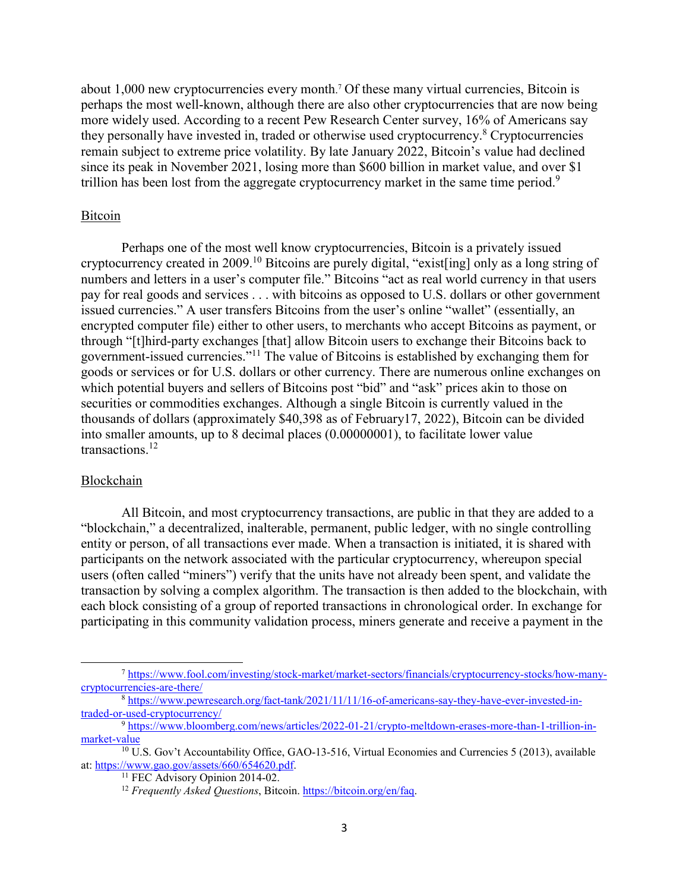about 1,000 new cryptocurrencies every month. [7](#page-2-0) Of these many virtual currencies, Bitcoin is perhaps the most well-known, although there are also other cryptocurrencies that are now being more widely used. According to a recent Pew Research Center survey, 16% of Americans say they personally have invested in, traded or otherwise used cryptocurrency.<sup>[8](#page-2-1)</sup> Cryptocurrencies remain subject to extreme price volatility. By late January 2022, Bitcoin's value had declined since its peak in November 2021, losing more than \$600 billion in market value, and over \$1 trillion has been lost from the aggregate cryptocurrency market in the same time period.<sup>[9](#page-2-2)</sup>

### Bitcoin

Perhaps one of the most well know cryptocurrencies, Bitcoin is a privately issued cryptocurrency created in 2009.[10](#page-2-3) Bitcoins are purely digital, "exist[ing] only as a long string of numbers and letters in a user's computer file." Bitcoins "act as real world currency in that users pay for real goods and services . . . with bitcoins as opposed to U.S. dollars or other government issued currencies." A user transfers Bitcoins from the user's online "wallet" (essentially, an encrypted computer file) either to other users, to merchants who accept Bitcoins as payment, or through "[t]hird-party exchanges [that] allow Bitcoin users to exchange their Bitcoins back to government-issued currencies."[11](#page-2-4) The value of Bitcoins is established by exchanging them for goods or services or for U.S. dollars or other currency. There are numerous online exchanges on which potential buyers and sellers of Bitcoins post "bid" and "ask" prices akin to those on securities or commodities exchanges. Although a single Bitcoin is currently valued in the thousands of dollars (approximately \$40,398 as of February17, 2022), Bitcoin can be divided into smaller amounts, up to 8 decimal places (0.00000001), to facilitate lower value transactions.[12](#page-2-5)

#### Blockchain

<span id="page-2-0"></span> $\overline{a}$ 

All Bitcoin, and most cryptocurrency transactions, are public in that they are added to a "blockchain," a decentralized, inalterable, permanent, public ledger, with no single controlling entity or person, of all transactions ever made. When a transaction is initiated, it is shared with participants on the network associated with the particular cryptocurrency, whereupon special users (often called "miners") verify that the units have not already been spent, and validate the transaction by solving a complex algorithm. The transaction is then added to the blockchain, with each block consisting of a group of reported transactions in chronological order. In exchange for participating in this community validation process, miners generate and receive a payment in the

<sup>7</sup> [https://www.fool.com/investing/stock-market/market-sectors/financials/cryptocurrency-stocks/how-many](https://www.fool.com/investing/stock-market/market-sectors/financials/cryptocurrency-stocks/how-many-cryptocurrencies-are-there/)[cryptocurrencies-are-there/](https://www.fool.com/investing/stock-market/market-sectors/financials/cryptocurrency-stocks/how-many-cryptocurrencies-are-there/)

<span id="page-2-1"></span><sup>&</sup>lt;sup>8</sup> [https://www.pewresearch.org/fact-tank/2021/11/11/16-of-americans-say-they-have-ever-invested-in](https://www.pewresearch.org/fact-tank/2021/11/11/16-of-americans-say-they-have-ever-invested-in-traded-or-used-cryptocurrency/)[traded-or-used-cryptocurrency/](https://www.pewresearch.org/fact-tank/2021/11/11/16-of-americans-say-they-have-ever-invested-in-traded-or-used-cryptocurrency/)

<span id="page-2-2"></span><sup>9</sup> [https://www.bloomberg.com/news/articles/2022-01-21/crypto-meltdown-erases-more-than-1-trillion-in](https://www.bloomberg.com/news/articles/2022-01-21/crypto-meltdown-erases-more-than-1-trillion-in-market-value)[market-value](https://www.bloomberg.com/news/articles/2022-01-21/crypto-meltdown-erases-more-than-1-trillion-in-market-value) 

<span id="page-2-4"></span><span id="page-2-3"></span><sup>&</sup>lt;sup>10</sup> U.S. Gov't Accountability Office, GAO-13-516, Virtual Economies and Currencies 5 (2013), available at: [https://www.gao.gov/assets/660/654620.pdf.](https://www.gao.gov/assets/660/654620.pdf)

<sup>&</sup>lt;sup>11</sup> FEC Advisory Opinion 2014-02.

<span id="page-2-5"></span><sup>12</sup> *Frequently Asked Questions*, Bitcoin. <https://bitcoin.org/en/faq>.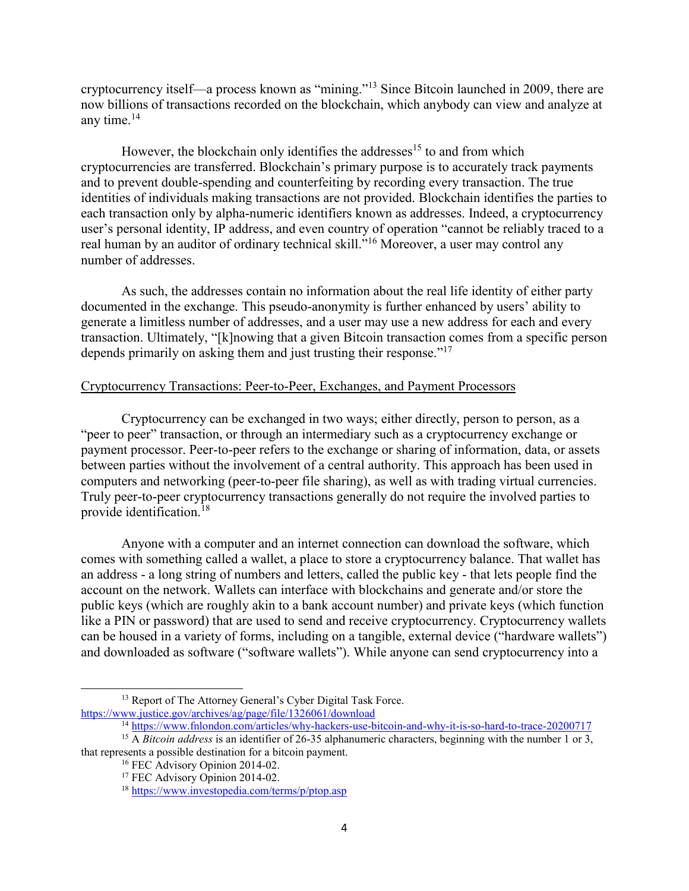cryptocurrency itself—a process known as "mining."<sup>[13](#page-3-0)</sup> Since Bitcoin launched in 2009, there are now billions of transactions recorded on the blockchain, which anybody can view and analyze at any time. $14$ 

However, the blockchain only identifies the addresses<sup>[15](#page-3-2)</sup> to and from which cryptocurrencies are transferred. Blockchain's primary purpose is to accurately track payments and to prevent double-spending and counterfeiting by recording every transaction. The true identities of individuals making transactions are not provided. Blockchain identifies the parties to each transaction only by alpha-numeric identifiers known as addresses. Indeed, a cryptocurrency user's personal identity, IP address, and even country of operation "cannot be reliably traced to a real human by an auditor of ordinary technical skill."[16](#page-3-3) Moreover, a user may control any number of addresses.

As such, the addresses contain no information about the real life identity of either party documented in the exchange. This pseudo-anonymity is further enhanced by users' ability to generate a limitless number of addresses, and a user may use a new address for each and every transaction. Ultimately, "[k]nowing that a given Bitcoin transaction comes from a specific person depends primarily on asking them and just trusting their response."<sup>[17](#page-3-4)</sup>

# Cryptocurrency Transactions: Peer-to-Peer, Exchanges, and Payment Processors

Cryptocurrency can be exchanged in two ways; either directly, person to person, as a "peer to peer" transaction, or through an intermediary such as a cryptocurrency exchange or payment processor. Peer-to-peer refers to the exchange or sharing of information, data, or assets between parties without the involvement of a central authority. This approach has been used in computers and networking (peer-to-peer file sharing), as well as with trading virtual currencies. Truly peer-to-peer cryptocurrency transactions generally do not require the involved parties to provide identification.[18](#page-3-5)

Anyone with a computer and an internet connection can download the software, which comes with something called a wallet, a place to store a cryptocurrency balance. That wallet has an address - a long string of numbers and letters, called the public key - that lets people find the account on the network. Wallets can interface with blockchains and generate and/or store the public keys (which are roughly akin to a bank account number) and private keys (which function like a PIN or password) that are used to send and receive cryptocurrency. Cryptocurrency wallets can be housed in a variety of forms, including on a tangible, external device ("hardware wallets") and downloaded as software ("software wallets"). While anyone can send cryptocurrency into a

<span id="page-3-0"></span><sup>&</sup>lt;sup>13</sup> Report of The Attorney General's Cyber Digital Task Force. <https://www.justice.gov/archives/ag/page/file/1326061/download>

<sup>14</sup> <https://www.fnlondon.com/articles/why-hackers-use-bitcoin-and-why-it-is-so-hard-to-trace-20200717>

<span id="page-3-3"></span><span id="page-3-2"></span><span id="page-3-1"></span><sup>&</sup>lt;sup>15</sup> A *Bitcoin address* is an identifier of 26-35 alphanumeric characters, beginning with the number 1 or 3, that represents a possible destination for a bitcoin payment.

<sup>&</sup>lt;sup>16</sup> FEC Advisory Opinion 2014-02.

<span id="page-3-4"></span><sup>&</sup>lt;sup>17</sup> FEC Advisory Opinion 2014-02.

<span id="page-3-5"></span><sup>18</sup> <https://www.investopedia.com/terms/p/ptop.asp>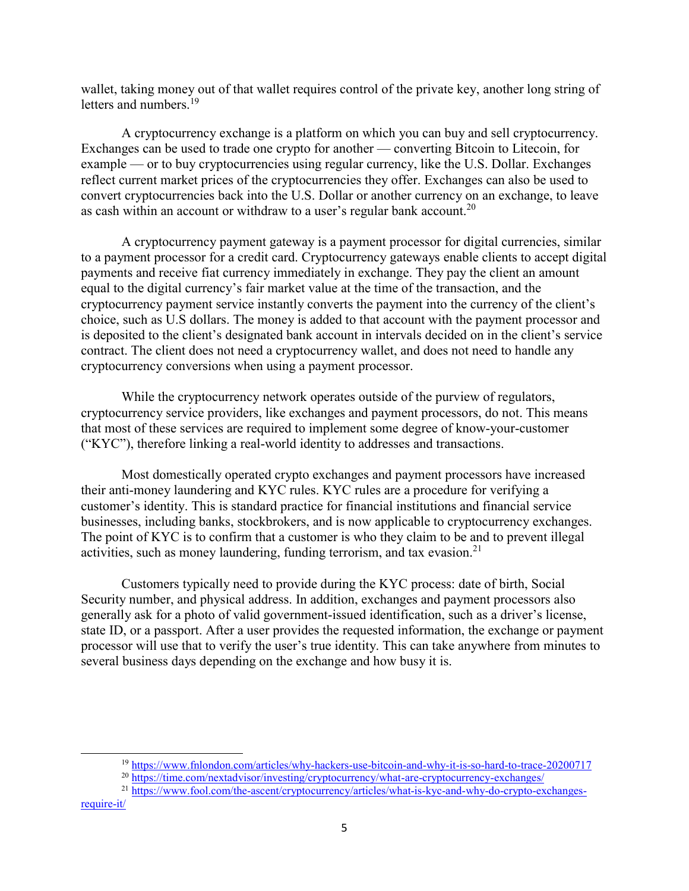wallet, taking money out of that wallet requires control of the private key, another long string of letters and numbers.<sup>[19](#page-4-0)</sup>

A cryptocurrency exchange is a platform on which you can buy and sell cryptocurrency. Exchanges can be used to trade one crypto for another — converting Bitcoin to Litecoin, for example — or to buy cryptocurrencies using regular currency, like the U.S. Dollar. Exchanges reflect current market prices of the cryptocurrencies they offer. Exchanges can also be used to convert cryptocurrencies back into the U.S. Dollar or another currency on an exchange, to leave as cash within an account or withdraw to a user's regular bank account.<sup>[20](#page-4-1)</sup>

A cryptocurrency payment gateway is a payment processor for digital currencies, similar to a payment processor for a credit card. Cryptocurrency gateways enable clients to accept digital payments and receive fiat currency immediately in exchange. They pay the client an amount equal to the digital currency's fair market value at the time of the transaction, and the cryptocurrency payment service instantly converts the payment into the currency of the client's choice, such as U.S dollars. The money is added to that account with the payment processor and is deposited to the client's designated bank account in intervals decided on in the client's service contract. The client does not need a cryptocurrency wallet, and does not need to handle any cryptocurrency conversions when using a payment processor.

While the cryptocurrency network operates outside of the purview of regulators, cryptocurrency service providers, like exchanges and payment processors, do not. This means that most of these services are required to implement some degree of know-your-customer ("KYC"), therefore linking a real-world identity to addresses and transactions.

Most domestically operated crypto exchanges and payment processors have increased their anti-money laundering and KYC rules. KYC rules are a procedure for verifying a customer's identity. This is standard practice for financial institutions and financial service businesses, including banks, stockbrokers, and is now applicable to cryptocurrency exchanges. The point of KYC is to confirm that a customer is who they claim to be and to prevent illegal activities, such as money laundering, funding terrorism, and tax evasion.<sup>[21](#page-4-2)</sup>

Customers typically need to provide during the KYC process: date of birth, Social Security number, and physical address. In addition, exchanges and payment processors also generally ask for a photo of valid government-issued identification, such as a driver's license, state ID, or a passport. After a user provides the requested information, the exchange or payment processor will use that to verify the user's true identity. This can take anywhere from minutes to several business days depending on the exchange and how busy it is.

<span id="page-4-2"></span><sup>21</sup> [https://www.fool.com/the-ascent/cryptocurrency/articles/what-is-kyc-and-why-do-crypto-exchanges-](https://www.fool.com/the-ascent/cryptocurrency/articles/what-is-kyc-and-why-do-crypto-exchanges-require-it/)

<sup>19</sup> <https://www.fnlondon.com/articles/why-hackers-use-bitcoin-and-why-it-is-so-hard-to-trace-20200717>

<span id="page-4-1"></span><span id="page-4-0"></span><sup>20</sup> <https://time.com/nextadvisor/investing/cryptocurrency/what-are-cryptocurrency-exchanges/>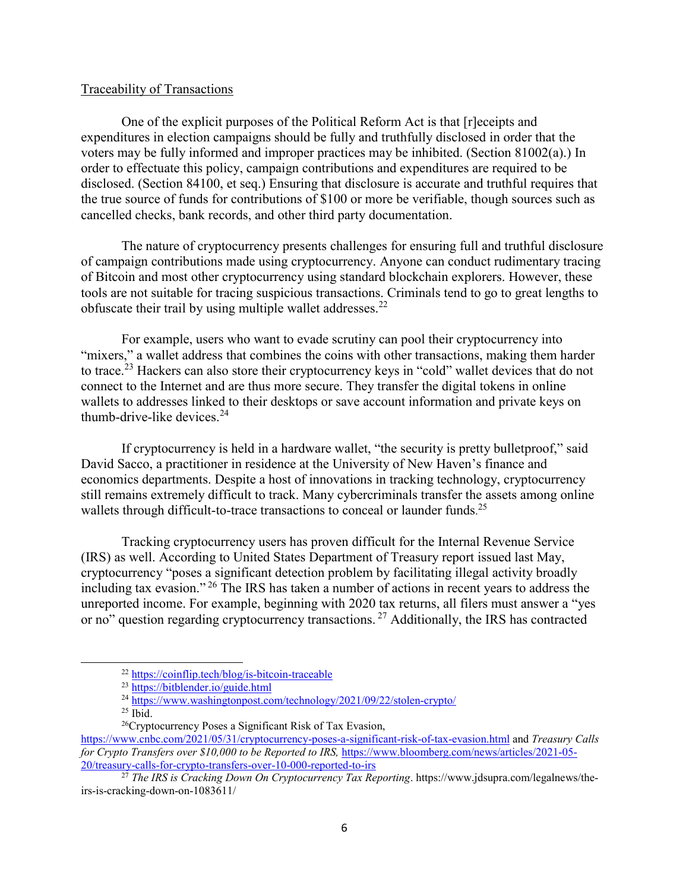### Traceability of Transactions

One of the explicit purposes of the Political Reform Act is that [r]eceipts and expenditures in election campaigns should be fully and truthfully disclosed in order that the voters may be fully informed and improper practices may be inhibited. (Section 81002(a).) In order to effectuate this policy, campaign contributions and expenditures are required to be disclosed. (Section 84100, et seq.) Ensuring that disclosure is accurate and truthful requires that the true source of funds for contributions of \$100 or more be verifiable, though sources such as cancelled checks, bank records, and other third party documentation.

The nature of cryptocurrency presents challenges for ensuring full and truthful disclosure of campaign contributions made using cryptocurrency. Anyone can conduct rudimentary tracing of Bitcoin and most other cryptocurrency using standard blockchain explorers. However, these tools are not suitable for tracing suspicious transactions. Criminals tend to go to great lengths to obfuscate their trail by using multiple wallet addresses.<sup>[22](#page-5-0)</sup>

For example, users who want to evade scrutiny can pool their cryptocurrency into "mixers," a wallet address that combines the coins with other transactions, making them harder to trace.<sup>[23](#page-5-1)</sup> Hackers can also store their cryptocurrency keys in "cold" wallet devices that do not connect to the Internet and are thus more secure. They transfer the digital tokens in online wallets to addresses linked to their desktops or save account information and private keys on thumb-drive-like devices. $24$ 

If cryptocurrency is held in a hardware wallet, "the security is pretty bulletproof," said David Sacco, a practitioner in residence at the University of New Haven's finance and economics departments. Despite a host of innovations in tracking technology, cryptocurrency still remains extremely difficult to track. Many cybercriminals transfer the assets among online wallets through difficult-to-trace transactions to conceal or launder funds.<sup>[25](#page-5-3)</sup>

Tracking cryptocurrency users has proven difficult for the Internal Revenue Service (IRS) as well. According to United States Department of Treasury report issued last May, cryptocurrency "poses a significant detection problem by facilitating illegal activity broadly including tax evasion." [26](#page-5-4) The IRS has taken a number of actions in recent years to address the unreported income. For example, beginning with 2020 tax returns, all filers must answer a "yes or no" question regarding cryptocurrency transactions.<sup>[27](#page-5-5)</sup> Additionally, the IRS has contracted

<span id="page-5-0"></span><sup>22</sup> <https://coinflip.tech/blog/is-bitcoin-traceable>

<sup>23</sup> <https://bitblender.io/guide.html>

<span id="page-5-2"></span><span id="page-5-1"></span> $^{24}$  <https://www.washingtonpost.com/technology/2021/09/22/stolen-crypto/>

 $25$  Ibid.

<span id="page-5-4"></span><span id="page-5-3"></span><sup>26</sup>Cryptocurrency Poses a Significant Risk of Tax Evasion,

<https://www.cnbc.com/2021/05/31/cryptocurrency-poses-a-significant-risk-of-tax-evasion.html> and *Treasury Calls for Crypto Transfers over \$10,000 to be Reported to IRS, [https://www.bloomberg.com/news/articles/2021-05-](https://www.bloomberg.com/news/articles/2021-05-20/treasury-calls-for-crypto-transfers-over-10-000-reported-to-irs)* [20/treasury-calls-for-crypto-transfers-over-10-000-reported-to-irs](https://www.bloomberg.com/news/articles/2021-05-20/treasury-calls-for-crypto-transfers-over-10-000-reported-to-irs)

<span id="page-5-5"></span><sup>27</sup> *The IRS is Cracking Down On Cryptocurrency Tax Reporting*. https://www.jdsupra.com/legalnews/theirs-is-cracking-down-on-1083611/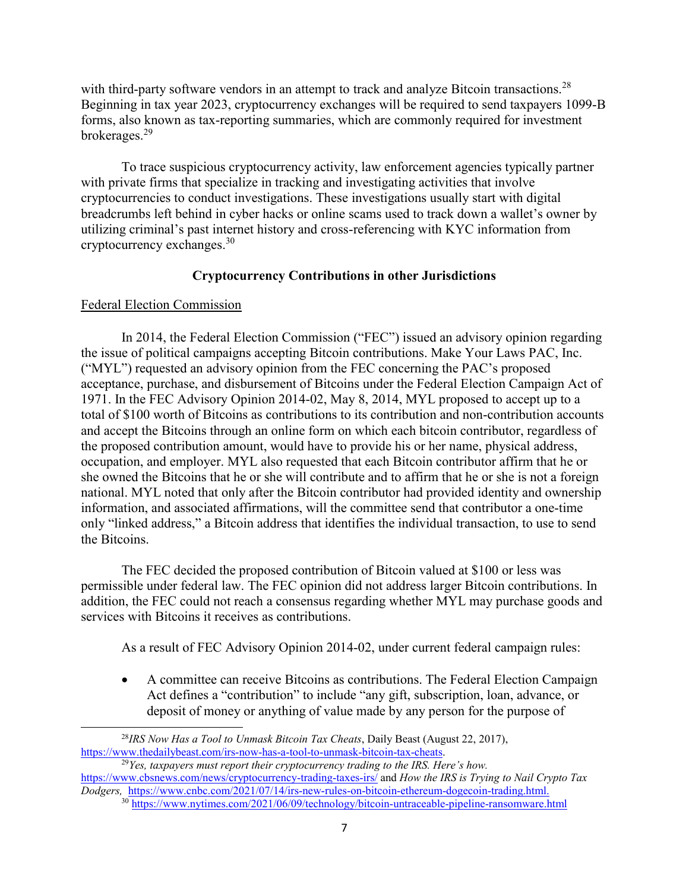with third-party software vendors in an attempt to track and analyze Bitcoin transactions.<sup>[28](#page-6-0)</sup> Beginning in tax year 2023, cryptocurrency exchanges will be required to send taxpayers 1099-B forms, also known as tax-reporting summaries, which are commonly required for investment brokerages. [29](#page-6-1)

To trace suspicious cryptocurrency activity, law enforcement agencies typically partner with private firms that specialize in tracking and investigating activities that involve cryptocurrencies to conduct investigations. These investigations usually start with digital breadcrumbs left behind in cyber hacks or online scams used to track down a wallet's owner by utilizing criminal's past internet history and cross-referencing with KYC information from cryptocurrency exchanges.[30](#page-6-2)

# **Cryptocurrency Contributions in other Jurisdictions**

# Federal Election Commission

In 2014, the Federal Election Commission ("FEC") issued an advisory opinion regarding the issue of political campaigns accepting Bitcoin contributions. Make Your Laws PAC, Inc. ("MYL") requested an advisory opinion from the FEC concerning the PAC's proposed acceptance, purchase, and disbursement of Bitcoins under the Federal Election Campaign Act of 1971. In the FEC Advisory Opinion 2014-02, May 8, 2014, MYL proposed to accept up to a total of \$100 worth of Bitcoins as contributions to its contribution and non-contribution accounts and accept the Bitcoins through an online form on which each bitcoin contributor, regardless of the proposed contribution amount, would have to provide his or her name, physical address, occupation, and employer. MYL also requested that each Bitcoin contributor affirm that he or she owned the Bitcoins that he or she will contribute and to affirm that he or she is not a foreign national. MYL noted that only after the Bitcoin contributor had provided identity and ownership information, and associated affirmations, will the committee send that contributor a one-time only "linked address," a Bitcoin address that identifies the individual transaction, to use to send the Bitcoins.

The FEC decided the proposed contribution of Bitcoin valued at \$100 or less was permissible under federal law. The FEC opinion did not address larger Bitcoin contributions. In addition, the FEC could not reach a consensus regarding whether MYL may purchase goods and services with Bitcoins it receives as contributions.

As a result of FEC Advisory Opinion 2014-02, under current federal campaign rules:

· A committee can receive Bitcoins as contributions. The Federal Election Campaign Act defines a "contribution" to include "any gift, subscription, loan, advance, or deposit of money or anything of value made by any person for the purpose of

<span id="page-6-0"></span> $\overline{a}$ <sup>28</sup>*IRS Now Has a Tool to Unmask Bitcoin Tax Cheats*, Daily Beast (August 22, 2017), <https://www.thedailybeast.com/irs-now-has-a-tool-to-unmask-bitcoin-tax-cheats>.

<sup>29</sup>*Yes, taxpayers must report their cryptocurrency trading to the IRS. Here's how.* <https://www.cbsnews.com/news/cryptocurrency-trading-taxes-irs/> and *How the IRS is Trying to Nail Crypto Tax Dodgers,* [https://www.cnbc.com/2021/07/14/irs-new-rules-on-bitcoin-ethereum-dogecoin-trading.html.](https://www.cnbc.com/2021/07/14/irs-new-rules-on-bitcoin-ethereum-dogecoin-trading.html)

<span id="page-6-2"></span><span id="page-6-1"></span><sup>&</sup>lt;sup>30</sup> <https://www.nytimes.com/2021/06/09/technology/bitcoin-untraceable-pipeline-ransomware.html>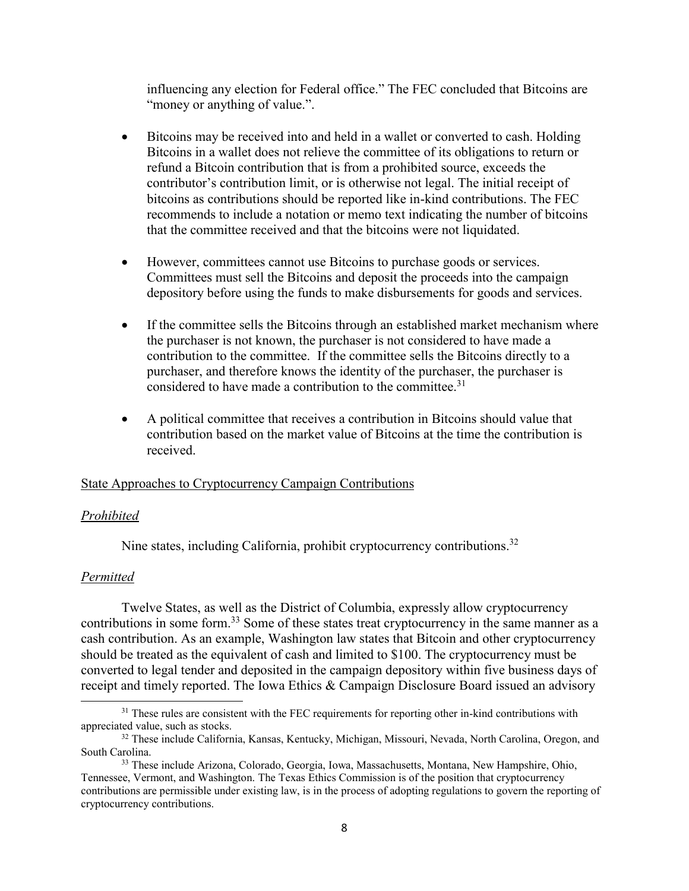influencing any election for Federal office." The FEC concluded that Bitcoins are "money or anything of value.".

- · Bitcoins may be received into and held in a wallet or converted to cash. Holding Bitcoins in a wallet does not relieve the committee of its obligations to return or refund a Bitcoin contribution that is from a prohibited source, exceeds the contributor's contribution limit, or is otherwise not legal. The initial receipt of bitcoins as contributions should be reported like in-kind contributions. The FEC recommends to include a notation or memo text indicating the number of bitcoins that the committee received and that the bitcoins were not liquidated.
- · However, committees cannot use Bitcoins to purchase goods or services. Committees must sell the Bitcoins and deposit the proceeds into the campaign depository before using the funds to make disbursements for goods and services.
- If the committee sells the Bitcoins through an established market mechanism where the purchaser is not known, the purchaser is not considered to have made a contribution to the committee. If the committee sells the Bitcoins directly to a purchaser, and therefore knows the identity of the purchaser, the purchaser is considered to have made a contribution to the committee.<sup>[31](#page-7-0)</sup>
- · A political committee that receives a contribution in Bitcoins should value that contribution based on the market value of Bitcoins at the time the contribution is received.

# State Approaches to Cryptocurrency Campaign Contributions

#### *Prohibited*

Nine states, including California, prohibit cryptocurrency contributions.<sup>[32](#page-7-1)</sup>

### *Permitted*

 $\overline{a}$ 

Twelve States, as well as the District of Columbia, expressly allow cryptocurrency contributions in some form.<sup>[33](#page-7-2)</sup> Some of these states treat cryptocurrency in the same manner as a cash contribution. As an example, Washington law states that Bitcoin and other cryptocurrency should be treated as the equivalent of cash and limited to \$100. The cryptocurrency must be converted to legal tender and deposited in the campaign depository within five business days of receipt and timely reported. The Iowa Ethics & Campaign Disclosure Board issued an advisory

<span id="page-7-0"></span><sup>&</sup>lt;sup>31</sup> These rules are consistent with the FEC requirements for reporting other in-kind contributions with appreciated value, such as stocks.

<span id="page-7-1"></span><sup>32</sup> These include California, Kansas, Kentucky, Michigan, Missouri, Nevada, North Carolina, Oregon, and South Carolina.

<span id="page-7-2"></span><sup>33</sup> These include Arizona, Colorado, Georgia, Iowa, Massachusetts, Montana, New Hampshire, Ohio, Tennessee, Vermont, and Washington. The Texas Ethics Commission is of the position that cryptocurrency contributions are permissible under existing law, is in the process of adopting regulations to govern the reporting of cryptocurrency contributions.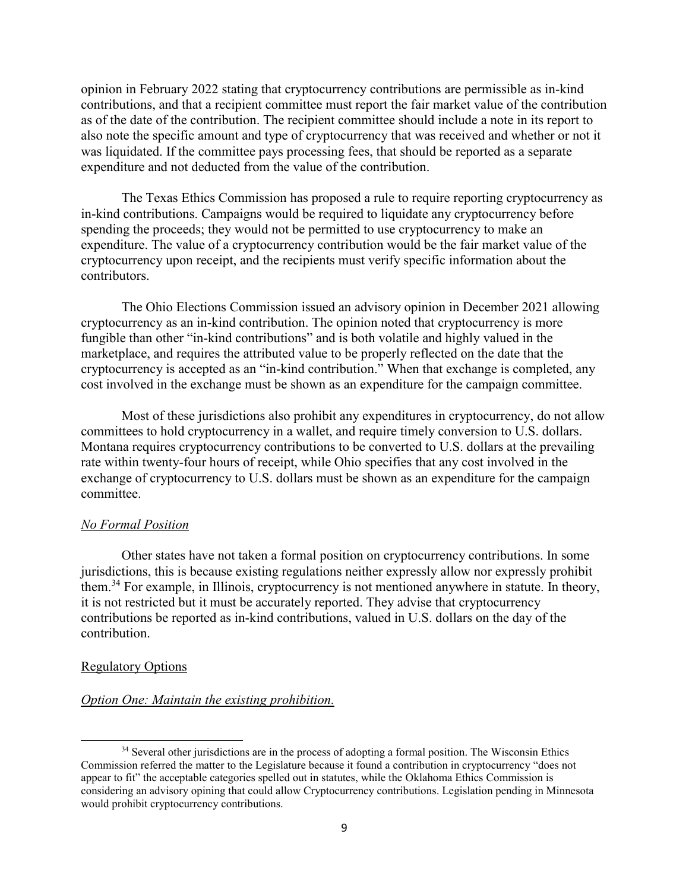opinion in February 2022 stating that cryptocurrency contributions are permissible as in-kind contributions, and that a recipient committee must report the fair market value of the contribution as of the date of the contribution. The recipient committee should include a note in its report to also note the specific amount and type of cryptocurrency that was received and whether or not it was liquidated. If the committee pays processing fees, that should be reported as a separate expenditure and not deducted from the value of the contribution.

The Texas Ethics Commission has proposed a rule to require reporting cryptocurrency as in-kind contributions. Campaigns would be required to liquidate any cryptocurrency before spending the proceeds; they would not be permitted to use cryptocurrency to make an expenditure. The value of a cryptocurrency contribution would be the fair market value of the cryptocurrency upon receipt, and the recipients must verify specific information about the contributors.

The Ohio Elections Commission issued an advisory opinion in December 2021 allowing cryptocurrency as an in-kind contribution. The opinion noted that cryptocurrency is more fungible than other "in-kind contributions" and is both volatile and highly valued in the marketplace, and requires the attributed value to be properly reflected on the date that the cryptocurrency is accepted as an "in-kind contribution." When that exchange is completed, any cost involved in the exchange must be shown as an expenditure for the campaign committee.

Most of these jurisdictions also prohibit any expenditures in cryptocurrency, do not allow committees to hold cryptocurrency in a wallet, and require timely conversion to U.S. dollars. Montana requires cryptocurrency contributions to be converted to U.S. dollars at the prevailing rate within twenty-four hours of receipt, while Ohio specifies that any cost involved in the exchange of cryptocurrency to U.S. dollars must be shown as an expenditure for the campaign committee.

#### *No Formal Position*

Other states have not taken a formal position on cryptocurrency contributions. In some jurisdictions, this is because existing regulations neither expressly allow nor expressly prohibit them.[34](#page-8-0) For example, in Illinois, cryptocurrency is not mentioned anywhere in statute. In theory, it is not restricted but it must be accurately reported. They advise that cryptocurrency contributions be reported as in-kind contributions, valued in U.S. dollars on the day of the contribution.

### Regulatory Options

 $\overline{a}$ 

### *Option One: Maintain the existing prohibition.*

<span id="page-8-0"></span><sup>&</sup>lt;sup>34</sup> Several other jurisdictions are in the process of adopting a formal position. The Wisconsin Ethics Commission referred the matter to the Legislature because it found a contribution in cryptocurrency "does not appear to fit" the acceptable categories spelled out in statutes, while the Oklahoma Ethics Commission is considering an advisory opining that could allow Cryptocurrency contributions. Legislation pending in Minnesota would prohibit cryptocurrency contributions.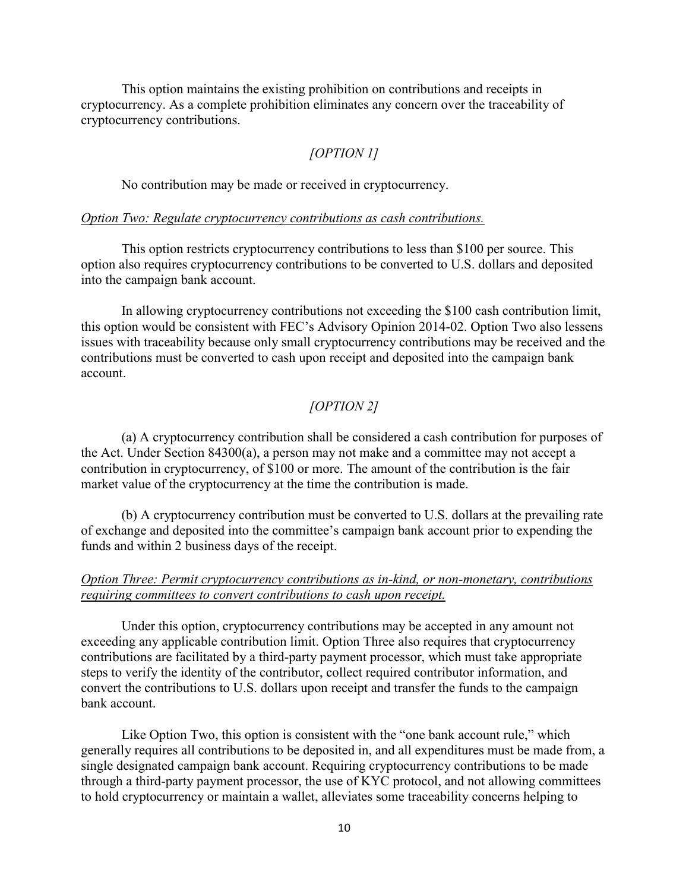This option maintains the existing prohibition on contributions and receipts in cryptocurrency. As a complete prohibition eliminates any concern over the traceability of cryptocurrency contributions.

# *[OPTION 1]*

No contribution may be made or received in cryptocurrency.

### *Option Two: Regulate cryptocurrency contributions as cash contributions.*

This option restricts cryptocurrency contributions to less than \$100 per source. This option also requires cryptocurrency contributions to be converted to U.S. dollars and deposited into the campaign bank account.

In allowing cryptocurrency contributions not exceeding the \$100 cash contribution limit, this option would be consistent with FEC's Advisory Opinion 2014-02. Option Two also lessens issues with traceability because only small cryptocurrency contributions may be received and the contributions must be converted to cash upon receipt and deposited into the campaign bank account.

# *[OPTION 2]*

(a) A cryptocurrency contribution shall be considered a cash contribution for purposes of the Act. Under Section 84300(a), a person may not make and a committee may not accept a contribution in cryptocurrency, of \$100 or more. The amount of the contribution is the fair market value of the cryptocurrency at the time the contribution is made.

(b) A cryptocurrency contribution must be converted to U.S. dollars at the prevailing rate of exchange and deposited into the committee's campaign bank account prior to expending the funds and within 2 business days of the receipt.

# *Option Three: Permit cryptocurrency contributions as in-kind, or non-monetary, contributions requiring committees to convert contributions to cash upon receipt.*

Under this option, cryptocurrency contributions may be accepted in any amount not exceeding any applicable contribution limit. Option Three also requires that cryptocurrency contributions are facilitated by a third-party payment processor, which must take appropriate steps to verify the identity of the contributor, collect required contributor information, and convert the contributions to U.S. dollars upon receipt and transfer the funds to the campaign bank account.

Like Option Two, this option is consistent with the "one bank account rule," which generally requires all contributions to be deposited in, and all expenditures must be made from, a single designated campaign bank account. Requiring cryptocurrency contributions to be made through a third-party payment processor, the use of KYC protocol, and not allowing committees to hold cryptocurrency or maintain a wallet, alleviates some traceability concerns helping to